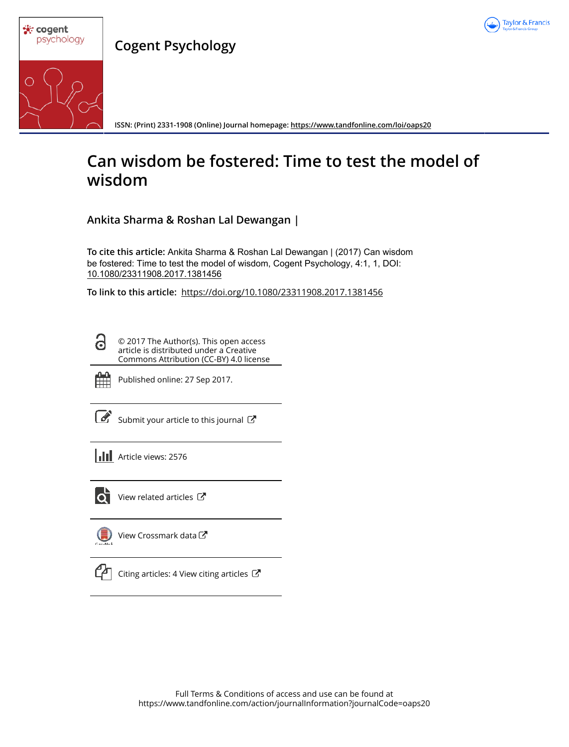

**Cogent Psychology**



**ISSN: (Print) 2331-1908 (Online) Journal homepage: https://www.tandfonline.com/loi/oaps20**

# **Can wisdom be fostered: Time to test the model of wisdom**

**Ankita Sharma & Roshan Lal Dewangan |**

**To cite this article:** Ankita Sharma & Roshan Lal Dewangan | (2017) Can wisdom be fostered: Time to test the model of wisdom, Cogent Psychology, 4:1, 1, DOI: 10.1080/23311908.2017.1381456

**To link to this article:** https://doi.org/10.1080/23311908.2017.1381456

© 2017 The Author(s). This open access article is distributed under a Creative Commons Attribution (CC-BY) 4.0 license



ദ

Published online: 27 Sep 2017.

Submit your article to this journal  $\mathbb{Z}$ 

**Article views: 2576** 



 $\overrightarrow{Q}$  View related articles  $\overrightarrow{C}$ 

View Crossmark data<sup>C</sup>



 $\Box$  Citing articles: 4 View citing articles  $\Box$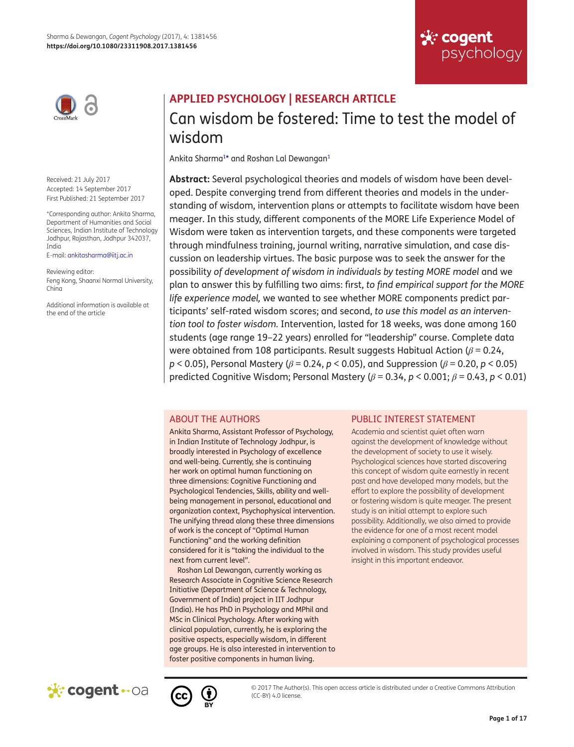

Received: 21 July 2017 Accepted: 14 September 2017 First Published: 21 September 2017

\*Corresponding author: Ankita Sharma, Department of Humanities and Social Sciences, Indian Institute of Technology Jodhpur, Rajasthan, Jodhpur 342037, India

E-mail: ankitasharma@iitj.ac.in

Reviewing editor: Feng Kong, Shaanxi Normal University, China

Additional information is available at the end of the article

# **APPLIED PSYCHOLOGY | RESEARCH ARTICLE** Can wisdom be fostered: Time to test the model of wisdom

Ankita Sharma1\* and Roshan Lal Dewangan<sup>1</sup>

**Abstract:** Several psychological theories and models of wisdom have been developed. Despite converging trend from different theories and models in the understanding of wisdom, intervention plans or attempts to facilitate wisdom have been meager. In this study, different components of the MORE Life Experience Model of Wisdom were taken as intervention targets, and these components were targeted through mindfulness training, journal writing, narrative simulation, and case discussion on leadership virtues. The basic purpose was to seek the answer for the possibility *of development of wisdom in individuals by testing MORE model* and we plan to answer this by fulfilling two aims: first, *to find empirical support for the MORE life experience model,* we wanted to see whether MORE components predict participants' self-rated wisdom scores; and second, *to use this model as an intervention tool to foster wisdom.* Intervention, lasted for 18 weeks, was done among 160 students (age range 19–22 years) enrolled for "leadership" course. Complete data were obtained from 108 participants. Result suggests Habitual Action (*β* = 0.24, *p* < 0.05), Personal Mastery (*β* = 0.24, *p* < 0.05), and Suppression (*β* = 0.20, *p* < 0.05) predicted Cognitive Wisdom; Personal Mastery (*β* = 0.34, *p* < 0.001; *β* = 0.43, *p* < 0.01)

# ABOUT THE AUTHORS

Ankita Sharma, Assistant Professor of Psychology, in Indian Institute of Technology Jodhpur, is broadly interested in Psychology of excellence and well-being. Currently, she is continuing her work on optimal human functioning on three dimensions: Cognitive Functioning and Psychological Tendencies, Skills, ability and wellbeing management in personal, educational and organization context, Psychophysical intervention. The unifying thread along these three dimensions of work is the concept of "Optimal Human Functioning" and the working definition considered for it is "taking the individual to the next from current level".

Roshan Lal Dewangan, currently working as Research Associate in Cognitive Science Research Initiative (Department of Science & Technology, Government of India) project in IIT Jodhpur (India). He has PhD in Psychology and MPhil and MSc in Clinical Psychology. After working with clinical population, currently, he is exploring the positive aspects, especially wisdom, in different age groups. He is also interested in intervention to foster positive components in human living.

# PUBLIC INTEREST STATEMENT

Academia and scientist quiet often warn against the development of knowledge without the development of society to use it wisely. Psychological sciences have started discovering this concept of wisdom quite earnestly in recent past and have developed many models, but the effort to explore the possibility of development or fostering wisdom is quite meager. The present study is an initial attempt to explore such possibility. Additionally, we also aimed to provide the evidence for one of a most recent model explaining a component of psychological processes involved in wisdom. This study provides useful insight in this important endeavor.

**Secogent** 

psychology





© 2017 The Author(s). This open access article is distributed under a Creative Commons Attribution (CC-BY) 4.0 license.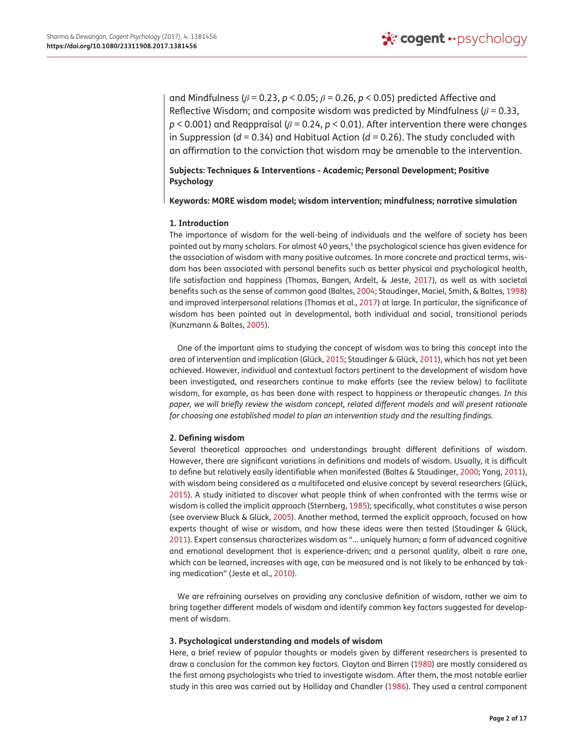and Mindfulness (*β* = 0.23, *p* < 0.05; *β* = 0.26, *p* < 0.05) predicted Affective and Reflective Wisdom; and composite wisdom was predicted by Mindfulness (*β* = 0.33, *p* < 0.001) and Reappraisal (*β* = 0.24, *p* < 0.01). After intervention there were changes in Suppression (*d* = 0.34) and Habitual Action (*d* = 0.26). The study concluded with an affirmation to the conviction that wisdom may be amenable to the intervention.

## **Subjects: Techniques & Interventions - Academic; Personal Development; Positive Psychology**

**Keywords: MORE wisdom model; wisdom intervention; mindfulness; narrative simulation**

## **1. Introduction**

The importance of wisdom for the well-being of individuals and the welfare of society has been pointed out by many scholars. For almost 40 years,<sup>1</sup> the psychological science has given evidence for the association of wisdom with many positive outcomes. In more concrete and practical terms, wisdom has been associated with personal benefits such as better physical and psychological health, life satisfaction and happiness (Thomas, Bangen, Ardelt, & Jeste, 2017), as well as with societal benefits such as the sense of common good (Baltes, 2004; Staudinger, Maciel, Smith, & Baltes, 1998) and improved interpersonal relations (Thomas et al., 2017) at large. In particular, the significance of wisdom has been pointed out in developmental, both individual and social, transitional periods (Kunzmann & Baltes, 2005).

One of the important aims to studying the concept of wisdom was to bring this concept into the area of intervention and implication (Glück, 2015; Staudinger & Glück, 2011), which has not yet been achieved. However, individual and contextual factors pertinent to the development of wisdom have been investigated, and researchers continue to make efforts (see the review below) to facilitate wisdom, for example, as has been done with respect to happiness or therapeutic changes. *In this*  paper, we will briefly review the wisdom concept, related different models and will present rationale *for choosing one established model to plan an intervention study and the resulting findings.*

## **2. Defining wisdom**

Several theoretical approaches and understandings brought different definitions of wisdom. However, there are significant variations in definitions and models of wisdom. Usually, it is difficult to define but relatively easily identifiable when manifested (Baltes & Staudinger, 2000; Yang, 2011), with wisdom being considered as a multifaceted and elusive concept by several researchers (Glück, 2015). A study initiated to discover what people think of when confronted with the terms wise or wisdom is called the implicit approach (Sternberg, 1985); specifically, what constitutes a wise person (see overview Bluck & Glück, 2005). Another method, termed the explicit approach, focused on how experts thought of wise or wisdom, and how these ideas were then tested (Staudinger & Glück, 2011). Expert consensus characterizes wisdom as "… uniquely human; a form of advanced cognitive and emotional development that is experience-driven; and a personal quality, albeit a rare one, which can be learned, increases with age, can be measured and is not likely to be enhanced by taking medication" (Jeste et al., 2010).

We are refraining ourselves on providing any conclusive definition of wisdom, rather we aim to bring together different models of wisdom and identify common key factors suggested for development of wisdom.

## **3. Psychological understanding and models of wisdom**

Here, a brief review of popular thoughts or models given by different researchers is presented to draw a conclusion for the common key factors. Clayton and Birren (1980) are mostly considered as the first among psychologists who tried to investigate wisdom. After them, the most notable earlier study in this area was carried out by Holliday and Chandler (1986). They used a central component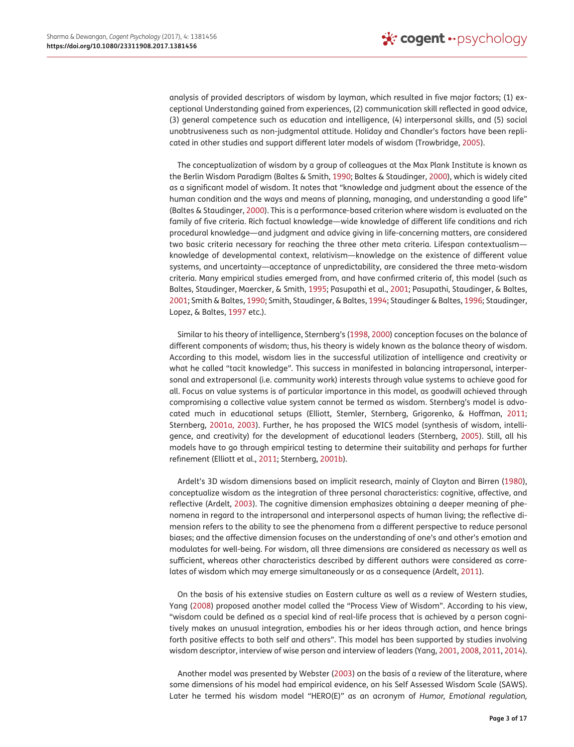analysis of provided descriptors of wisdom by layman, which resulted in five major factors; (1) exceptional Understanding gained from experiences, (2) communication skill reflected in good advice, (3) general competence such as education and intelligence, (4) interpersonal skills, and (5) social unobtrusiveness such as non-judgmental attitude. Holiday and Chandler's factors have been replicated in other studies and support different later models of wisdom (Trowbridge, 2005).

The conceptualization of wisdom by a group of colleagues at the Max Plank Institute is known as the Berlin Wisdom Paradigm (Baltes & Smith, 1990; Baltes & Staudinger, 2000), which is widely cited as a significant model of wisdom. It notes that "knowledge and judgment about the essence of the human condition and the ways and means of planning, managing, and understanding a good life" (Baltes & Staudinger, 2000). This is a performance-based criterion where wisdom is evaluated on the family of five criteria. Rich factual knowledge—wide knowledge of different life conditions and rich procedural knowledge—and judgment and advice giving in life-concerning matters, are considered two basic criteria necessary for reaching the three other meta criteria. Lifespan contextualism knowledge of developmental context, relativism—knowledge on the existence of different value systems, and uncertainty—acceptance of unpredictability, are considered the three meta-wisdom criteria. Many empirical studies emerged from, and have confirmed criteria of, this model (such as Baltes, Staudinger, Maercker, & Smith, 1995; Pasupathi et al., 2001; Pasupathi, Staudinger, & Baltes, 2001; Smith & Baltes, 1990; Smith, Staudinger, & Baltes, 1994; Staudinger & Baltes, 1996; Staudinger, Lopez, & Baltes, 1997 etc.).

Similar to his theory of intelligence, Sternberg's (1998, 2000) conception focuses on the balance of different components of wisdom; thus, his theory is widely known as the balance theory of wisdom. According to this model, wisdom lies in the successful utilization of intelligence and creativity or what he called "tacit knowledge". This success in manifested in balancing intrapersonal, interpersonal and extrapersonal (i.e. community work) interests through value systems to achieve good for all. Focus on value systems is of particular importance in this model, as goodwill achieved through compromising a collective value system cannot be termed as wisdom. Sternberg's model is advocated much in educational setups (Elliott, Stemler, Sternberg, Grigorenko, & Hoffman, 2011; Sternberg, 2001a, 2003). Further, he has proposed the WICS model (synthesis of wisdom, intelligence, and creativity) for the development of educational leaders (Sternberg, 2005). Still, all his models have to go through empirical testing to determine their suitability and perhaps for further refinement (Elliott et al., 2011; Sternberg, 2001b).

Ardelt's 3D wisdom dimensions based on implicit research, mainly of Clayton and Birren (1980), conceptualize wisdom as the integration of three personal characteristics: cognitive, affective, and reflective (Ardelt, 2003). The cognitive dimension emphasizes obtaining a deeper meaning of phenomena in regard to the intrapersonal and interpersonal aspects of human living; the reflective dimension refers to the ability to see the phenomena from a different perspective to reduce personal biases; and the affective dimension focuses on the understanding of one's and other's emotion and modulates for well-being. For wisdom, all three dimensions are considered as necessary as well as sufficient, whereas other characteristics described by different authors were considered as correlates of wisdom which may emerge simultaneously or as a consequence (Ardelt, 2011).

On the basis of his extensive studies on Eastern culture as well as a review of Western studies, Yang (2008) proposed another model called the "Process View of Wisdom". According to his view, "wisdom could be defined as a special kind of real-life process that is achieved by a person cognitively makes an unusual integration, embodies his or her ideas through action, and hence brings forth positive effects to both self and others". This model has been supported by studies involving wisdom descriptor, interview of wise person and interview of leaders (Yang, 2001, 2008, 2011, 2014).

Another model was presented by Webster (2003) on the basis of a review of the literature, where some dimensions of his model had empirical evidence, on his Self Assessed Wisdom Scale (SAWS). Later he termed his wisdom model "HERO(E)" as an acronym of *Humor, Emotional regulation,*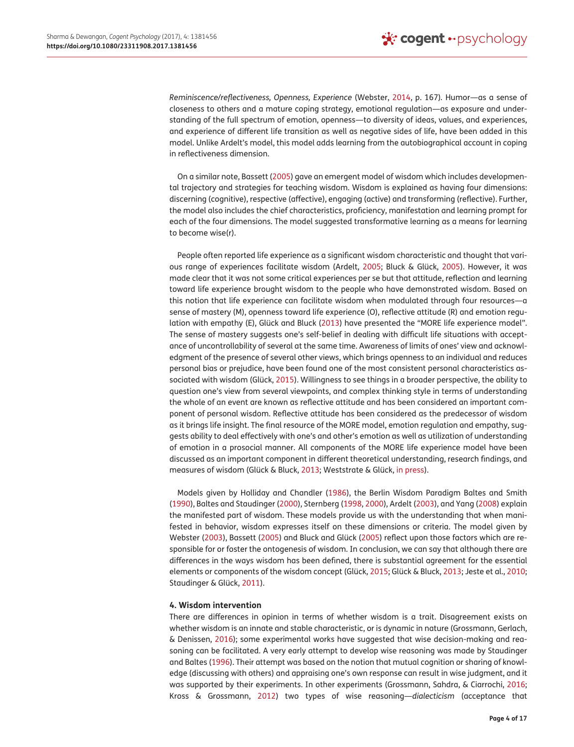*Reminiscence/reflectiveness, Openness, Experience* (Webster, 2014, p. 167)*.* Humor—as a sense of closeness to others and a mature coping strategy, emotional regulation—as exposure and understanding of the full spectrum of emotion, openness—to diversity of ideas, values, and experiences, and experience of different life transition as well as negative sides of life, have been added in this model. Unlike Ardelt's model, this model adds learning from the autobiographical account in coping in reflectiveness dimension.

On a similar note, Bassett (2005) gave an emergent model of wisdom which includes developmental trajectory and strategies for teaching wisdom. Wisdom is explained as having four dimensions: discerning (cognitive), respective (affective), engaging (active) and transforming (reflective). Further, the model also includes the chief characteristics, proficiency, manifestation and learning prompt for each of the four dimensions. The model suggested transformative learning as a means for learning to become wise(r).

People often reported life experience as a significant wisdom characteristic and thought that various range of experiences facilitate wisdom (Ardelt, 2005; Bluck & Glück, 2005). However, it was made clear that it was not some critical experiences per se but that attitude, reflection and learning toward life experience brought wisdom to the people who have demonstrated wisdom. Based on this notion that life experience can facilitate wisdom when modulated through four resources—a sense of mastery (M), openness toward life experience (O), reflective attitude (R) and emotion regulation with empathy (E), Glück and Bluck (2013) have presented the "MORE life experience model". The sense of mastery suggests one's self-belief in dealing with difficult life situations with acceptance of uncontrollability of several at the same time. Awareness of limits of ones' view and acknowledgment of the presence of several other views, which brings openness to an individual and reduces personal bias or prejudice, have been found one of the most consistent personal characteristics associated with wisdom (Glück, 2015). Willingness to see things in a broader perspective, the ability to question one's view from several viewpoints, and complex thinking style in terms of understanding the whole of an event are known as reflective attitude and has been considered an important component of personal wisdom. Reflective attitude has been considered as the predecessor of wisdom as it brings life insight. The final resource of the MORE model, emotion regulation and empathy, suggests ability to deal effectively with one's and other's emotion as well as utilization of understanding of emotion in a prosocial manner. All components of the MORE life experience model have been discussed as an important component in different theoretical understanding, research findings, and measures of wisdom (Glück & Bluck, 2013; Weststrate & Glück, in press).

Models given by Holliday and Chandler (1986), the Berlin Wisdom Paradigm Baltes and Smith (1990), Baltes and Staudinger (2000), Sternberg (1998, 2000), Ardelt (2003), and Yang (2008) explain the manifested part of wisdom. These models provide us with the understanding that when manifested in behavior, wisdom expresses itself on these dimensions or criteria. The model given by Webster (2003), Bassett (2005) and Bluck and Glück (2005) reflect upon those factors which are responsible for or foster the ontogenesis of wisdom. In conclusion, we can say that although there are differences in the ways wisdom has been defined, there is substantial agreement for the essential elements or components of the wisdom concept (Glück, 2015; Glück & Bluck, 2013; Jeste et al., 2010; Staudinger & Glück, 2011).

#### **4. Wisdom intervention**

There are differences in opinion in terms of whether wisdom is a trait. Disagreement exists on whether wisdom is an innate and stable characteristic, or is dynamic in nature (Grossmann, Gerlach, & Denissen, 2016); some experimental works have suggested that wise decision-making and reasoning can be facilitated. A very early attempt to develop wise reasoning was made by Staudinger and Baltes (1996). Their attempt was based on the notion that mutual cognition or sharing of knowledge (discussing with others) and appraising one's own response can result in wise judgment, and it was supported by their experiments. In other experiments (Grossmann, Sahdra, & Ciarrochi, 2016; Kross & Grossmann, 2012) two types of wise reasoning—*dialecticism* (acceptance that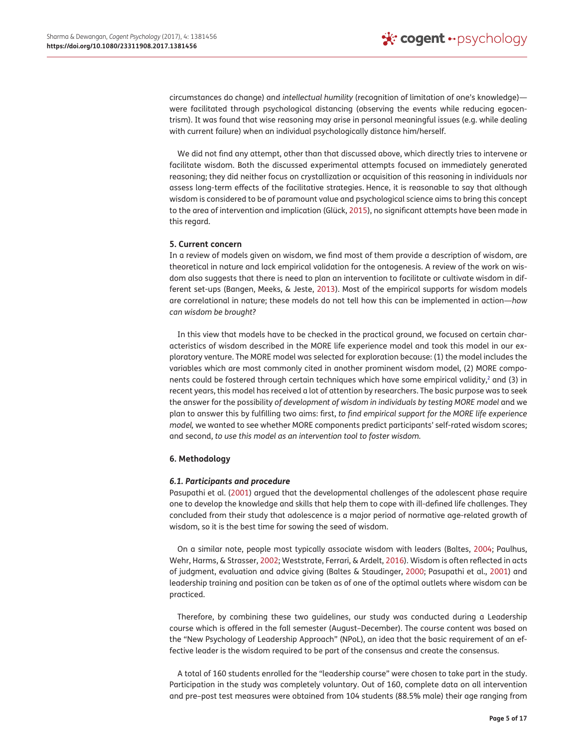circumstances do change) and *intellectual humility* (recognition of limitation of one's knowledge) were facilitated through psychological distancing (observing the events while reducing egocentrism). It was found that wise reasoning may arise in personal meaningful issues (e.g. while dealing with current failure) when an individual psychologically distance him/herself.

We did not find any attempt, other than that discussed above, which directly tries to intervene or facilitate wisdom. Both the discussed experimental attempts focused on immediately generated reasoning; they did neither focus on crystallization or acquisition of this reasoning in individuals nor assess long-term effects of the facilitative strategies. Hence, it is reasonable to say that although wisdom is considered to be of paramount value and psychological science aims to bring this concept to the area of intervention and implication (Glück, 2015), no significant attempts have been made in this regard.

## **5. Current concern**

In a review of models given on wisdom, we find most of them provide a description of wisdom, are theoretical in nature and lack empirical validation for the ontogenesis. A review of the work on wisdom also suggests that there is need to plan an intervention to facilitate or cultivate wisdom in different set-ups (Bangen, Meeks, & Jeste, 2013). Most of the empirical supports for wisdom models are correlational in nature; these models do not tell how this can be implemented in action—*how can wisdom be brought*?

In this view that models have to be checked in the practical ground, we focused on certain characteristics of wisdom described in the MORE life experience model and took this model in our exploratory venture. The MORE model was selected for exploration because: (1) the model includes the variables which are most commonly cited in another prominent wisdom model, (2) MORE components could be fostered through certain techniques which have some empirical validity, $^2$  and (3) in recent years, this model has received a lot of attention by researchers. The basic purpose was to seek the answer for the possibility *of development of wisdom in individuals by testing MORE model* and we plan to answer this by fulfilling two aims: first, *to find empirical support for the MORE life experience model,* we wanted to see whether MORE components predict participants' self-rated wisdom scores; and second, *to use this model as an intervention tool to foster wisdom.*

#### **6. Methodology**

#### *6.1. Participants and procedure*

Pasupathi et al. (2001) argued that the developmental challenges of the adolescent phase require one to develop the knowledge and skills that help them to cope with ill-defined life challenges. They concluded from their study that adolescence is a major period of normative age-related growth of wisdom, so it is the best time for sowing the seed of wisdom.

On a similar note, people most typically associate wisdom with leaders (Baltes, 2004; Paulhus, Wehr, Harms, & Strasser, 2002; Weststrate, Ferrari, & Ardelt, 2016). Wisdom is often reflected in acts of judgment, evaluation and advice giving (Baltes & Staudinger, 2000; Pasupathi et al., 2001) and leadership training and position can be taken as of one of the optimal outlets where wisdom can be practiced.

Therefore, by combining these two guidelines, our study was conducted during a Leadership course which is offered in the fall semester (August–December). The course content was based on the "New Psychology of Leadership Approach" (NPoL), an idea that the basic requirement of an effective leader is the wisdom required to be part of the consensus and create the consensus.

A total of 160 students enrolled for the "leadership course" were chosen to take part in the study. Participation in the study was completely voluntary. Out of 160, complete data on all intervention and pre–post test measures were obtained from 104 students (88.5% male) their age ranging from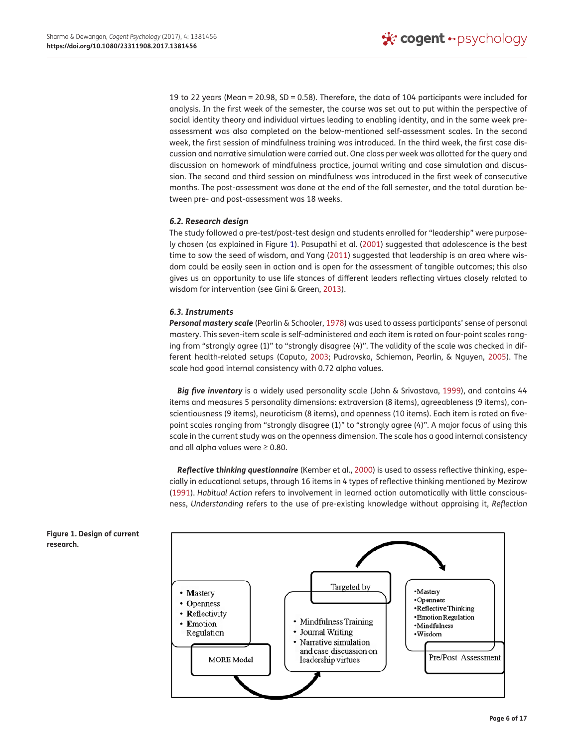19 to 22 years (Mean = 20.98, SD = 0.58). Therefore, the data of 104 participants were included for analysis. In the first week of the semester, the course was set out to put within the perspective of social identity theory and individual virtues leading to enabling identity, and in the same week preassessment was also completed on the below-mentioned self-assessment scales. In the second week, the first session of mindfulness training was introduced. In the third week, the first case discussion and narrative simulation were carried out. One class per week was allotted for the query and discussion on homework of mindfulness practice, journal writing and case simulation and discussion. The second and third session on mindfulness was introduced in the first week of consecutive months. The post-assessment was done at the end of the fall semester, and the total duration between pre- and post-assessment was 18 weeks.

## *6.2. Research design*

The study followed a pre-test/post-test design and students enrolled for "leadership" were purposely chosen (as explained in Figure 1). Pasupathi et al. (2001) suggested that adolescence is the best time to sow the seed of wisdom, and Yang (2011) suggested that leadership is an area where wisdom could be easily seen in action and is open for the assessment of tangible outcomes; this also gives us an opportunity to use life stances of different leaders reflecting virtues closely related to wisdom for intervention (see Gini & Green, 2013).

## *6.3. Instruments*

*Personal mastery scale* (Pearlin & Schooler, 1978) was used to assess participants' sense of personal mastery. This seven-item scale is self-administered and each item is rated on four-point scales ranging from "strongly agree (1)" to "strongly disagree (4)". The validity of the scale was checked in different health-related setups (Caputo, 2003; Pudrovska, Schieman, Pearlin, & Nguyen, 2005). The scale had good internal consistency with 0.72 alpha values.

*Big five inventory* is a widely used personality scale (John & Srivastava, 1999), and contains 44 items and measures 5 personality dimensions: extraversion (8 items), agreeableness (9 items), conscientiousness (9 items), neuroticism (8 items), and openness (10 items). Each item is rated on fivepoint scales ranging from "strongly disagree (1)" to "strongly agree (4)". A major focus of using this scale in the current study was on the openness dimension. The scale has a good internal consistency and all alpha values were  $\geq 0.80$ .

*Reflective thinking questionnaire* (Kember et al., 2000) is used to assess reflective thinking, especially in educational setups, through 16 items in 4 types of reflective thinking mentioned by Mezirow (1991). *Habitual Action* refers to involvement in learned action automatically with little consciousness, *Understanding* refers to the use of pre-existing knowledge without appraising it, *Reflection*



**Figure 1. Design of current research.**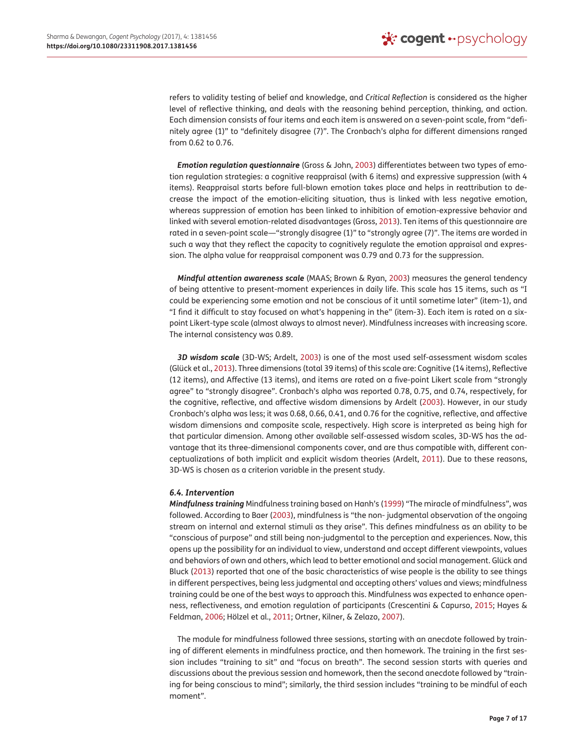refers to validity testing of belief and knowledge, and *Critical Reflection* is considered as the higher level of reflective thinking, and deals with the reasoning behind perception, thinking, and action. Each dimension consists of four items and each item is answered on a seven-point scale, from "definitely agree (1)" to "definitely disagree (7)". The Cronbach's alpha for different dimensions ranged from 0.62 to 0.76.

*Emotion regulation questionnaire* (Gross & John, 2003) differentiates between two types of emotion regulation strategies: a cognitive reappraisal (with 6 items) and expressive suppression (with 4 items). Reappraisal starts before full-blown emotion takes place and helps in reattribution to decrease the impact of the emotion-eliciting situation, thus is linked with less negative emotion, whereas suppression of emotion has been linked to inhibition of emotion-expressive behavior and linked with several emotion-related disadvantages (Gross, 2013). Ten items of this questionnaire are rated in a seven-point scale—"strongly disagree (1)" to "strongly agree (7)". The items are worded in such a way that they reflect the capacity to cognitively regulate the emotion appraisal and expression. The alpha value for reappraisal component was 0.79 and 0.73 for the suppression.

*Mindful attention awareness scale* (MAAS; Brown & Ryan, 2003) measures the general tendency of being attentive to present-moment experiences in daily life. This scale has 15 items, such as "I could be experiencing some emotion and not be conscious of it until sometime later" (item-1), and "I find it difficult to stay focused on what's happening in the" (item-3). Each item is rated on a sixpoint Likert-type scale (almost always to almost never). Mindfulness increases with increasing score. The internal consistency was 0.89.

*3D wisdom scale* (3D-WS; Ardelt, 2003) is one of the most used self-assessment wisdom scales (Glück et al., 2013). Three dimensions (total 39 items) of this scale are: Cognitive (14 items), Reflective (12 items), and Affective (13 items), and items are rated on a five-point Likert scale from "strongly agree" to "strongly disagree". Cronbach's alpha was reported 0.78, 0.75, and 0.74, respectively, for the cognitive, reflective, and affective wisdom dimensions by Ardelt (2003). However, in our study Cronbach's alpha was less; it was 0.68, 0.66, 0.41, and 0.76 for the cognitive, reflective, and affective wisdom dimensions and composite scale, respectively. High score is interpreted as being high for that particular dimension. Among other available self-assessed wisdom scales, 3D-WS has the advantage that its three-dimensional components cover, and are thus compatible with, different conceptualizations of both implicit and explicit wisdom theories (Ardelt, 2011). Due to these reasons, 3D-WS is chosen as a criterion variable in the present study.

## *6.4. Intervention*

*Mindfulness training* Mindfulness training based on Hanh's (1999) "The miracle of mindfulness", was followed. According to Baer (2003), mindfulness is "the non- judgmental observation of the ongoing stream on internal and external stimuli as they arise". This defines mindfulness as an ability to be "conscious of purpose" and still being non-judgmental to the perception and experiences. Now, this opens up the possibility for an individual to view, understand and accept different viewpoints, values and behaviors of own and others, which lead to better emotional and social management. Glück and Bluck (2013) reported that one of the basic characteristics of wise people is the ability to see things in different perspectives, being less judgmental and accepting others' values and views; mindfulness training could be one of the best ways to approach this. Mindfulness was expected to enhance openness, reflectiveness, and emotion regulation of participants (Crescentini & Capurso, 2015; Hayes & Feldman, 2006; Hölzel et al., 2011; Ortner, Kilner, & Zelazo, 2007).

The module for mindfulness followed three sessions, starting with an anecdote followed by training of different elements in mindfulness practice, and then homework. The training in the first session includes "training to sit" and "focus on breath". The second session starts with queries and discussions about the previous session and homework, then the second anecdote followed by "training for being conscious to mind"; similarly, the third session includes "training to be mindful of each moment".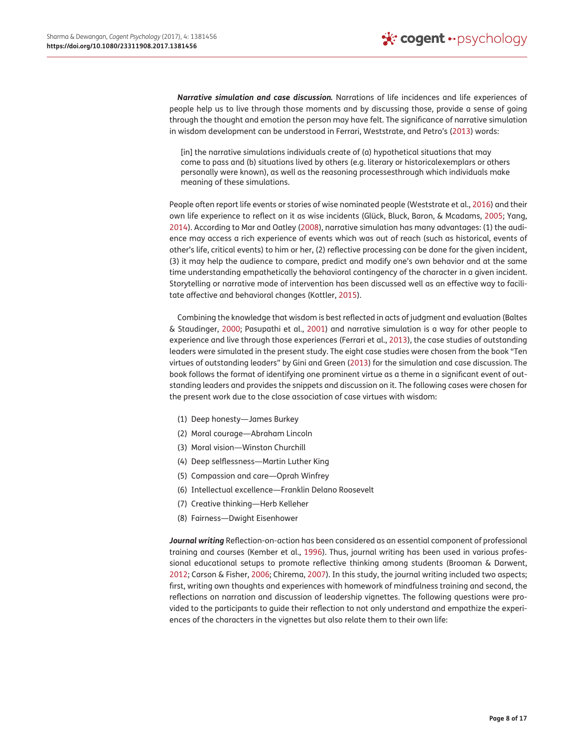*Narrative simulation and case discussion.* Narrations of life incidences and life experiences of people help us to live through those moments and by discussing those, provide a sense of going through the thought and emotion the person may have felt. The significance of narrative simulation in wisdom development can be understood in Ferrari, Weststrate, and Petro's (2013) words:

[in] the narrative simulations individuals create of (a) hypothetical situations that may come to pass and (b) situations lived by others (e.g. literary or historicalexemplars or others personally were known), as well as the reasoning processesthrough which individuals make meaning of these simulations.

People often report life events or stories of wise nominated people (Weststrate et al., 2016) and their own life experience to reflect on it as wise incidents (Glück, Bluck, Baron, & Mcadams, 2005; Yang, 2014). According to Mar and Oatley (2008), narrative simulation has many advantages: (1) the audience may access a rich experience of events which was out of reach (such as historical, events of other's life, critical events) to him or her, (2) reflective processing can be done for the given incident, (3) it may help the audience to compare, predict and modify one's own behavior and at the same time understanding empathetically the behavioral contingency of the character in a given incident. Storytelling or narrative mode of intervention has been discussed well as an effective way to facilitate affective and behavioral changes (Kottler, 2015).

Combining the knowledge that wisdom is best reflected in acts of judgment and evaluation (Baltes & Staudinger, 2000; Pasupathi et al., 2001) and narrative simulation is a way for other people to experience and live through those experiences (Ferrari et al., 2013), the case studies of outstanding leaders were simulated in the present study. The eight case studies were chosen from the book "Ten virtues of outstanding leaders" by Gini and Green (2013) for the simulation and case discussion. The book follows the format of identifying one prominent virtue as a theme in a significant event of outstanding leaders and provides the snippets and discussion on it. The following cases were chosen for the present work due to the close association of case virtues with wisdom:

- (1) Deep honesty—James Burkey
- (2) Moral courage—Abraham Lincoln
- (3) Moral vision—Winston Churchill
- (4) Deep selflessness—Martin Luther King
- (5) Compassion and care—Oprah Winfrey
- (6) Intellectual excellence—Franklin Delano Roosevelt
- (7) Creative thinking—Herb Kelleher
- (8) Fairness—Dwight Eisenhower

*Journal writing* Reflection-on-action has been considered as an essential component of professional training and courses (Kember et al., 1996). Thus, journal writing has been used in various professional educational setups to promote reflective thinking among students (Brooman & Darwent, 2012; Carson & Fisher, 2006; Chirema, 2007). In this study, the journal writing included two aspects; first, writing own thoughts and experiences with homework of mindfulness training and second, the reflections on narration and discussion of leadership vignettes. The following questions were provided to the participants to guide their reflection to not only understand and empathize the experiences of the characters in the vignettes but also relate them to their own life: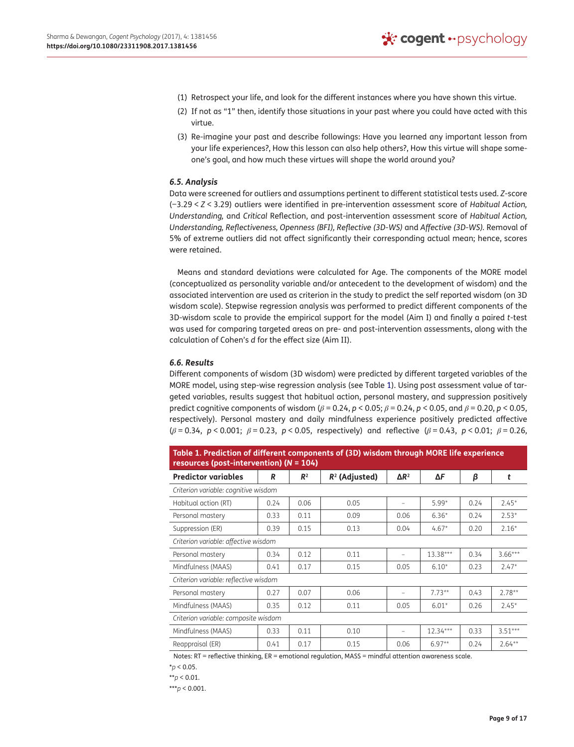- (1) Retrospect your life, and look for the different instances where you have shown this virtue.
- (2) If not as "1" then, identify those situations in your past where you could have acted with this virtue.
- (3) Re-imagine your past and describe followings: Have you learned any important lesson from your life experiences?, How this lesson can also help others?, How this virtue will shape someone's goal, and how much these virtues will shape the world around you?

#### *6.5. Analysis*

Data were screened for outliers and assumptions pertinent to different statistical tests used. *Z*-score (−3.29 < *Z* < 3.29) outliers were identified in pre-intervention assessment score of *Habitual Action, Understanding,* and *Critical* Reflection, and post-intervention assessment score of *Habitual Action, Understanding, Reflectiveness, Openness (BFI), Reflective (3D*-*WS)* and *Affective (3D*-*WS).* Removal of 5% of extreme outliers did not affect significantly their corresponding actual mean; hence, scores were retained.

Means and standard deviations were calculated for Age. The components of the MORE model (conceptualized as personality variable and/or antecedent to the development of wisdom) and the associated intervention are used as criterion in the study to predict the self reported wisdom (on 3D wisdom scale). Stepwise regression analysis was performed to predict different components of the 3D-wisdom scale to provide the empirical support for the model (Aim I) and finally a paired *t*-test was used for comparing targeted areas on pre- and post-intervention assessments, along with the calculation of Cohen's *d* for the effect size (Aim II).

#### *6.6. Results*

Different components of wisdom (3D wisdom) were predicted by different targeted variables of the MORE model, using step-wise regression analysis (see Table 1). Using post assessment value of targeted variables, results suggest that habitual action, personal mastery, and suppression positively predict cognitive components of wisdom (*β* = 0.24, *p* < 0.05; *β* = 0.24, *p* < 0.05, and *β* = 0.20, *p* < 0.05, respectively). Personal mastery and daily mindfulness experience positively predicted affective (*β* = 0.34, *p* < 0.001; *β* = 0.23, *p* < 0.05, respectively) and reflective (*β* = 0.43, *p* < 0.01; *β* = 0.26,

| Table 1. Prediction of different components of (3D) wisdom through MORE life experience<br>resources (post-intervention) ( $N = 104$ ) |      |                |                 |                |            |      |           |  |  |
|----------------------------------------------------------------------------------------------------------------------------------------|------|----------------|-----------------|----------------|------------|------|-----------|--|--|
| <b>Predictor variables</b>                                                                                                             | R    | R <sup>2</sup> | $R2$ (Adjusted) | $\Delta R^2$   | ΔF         | β    | t         |  |  |
| Criterion variable: cognitive wisdom                                                                                                   |      |                |                 |                |            |      |           |  |  |
| Habitual action (RT)                                                                                                                   | 0.24 | 0.06           | 0.05            | $\overline{a}$ | $5.99*$    | 0.24 | $2.45*$   |  |  |
| Personal mastery                                                                                                                       | 0.33 | 0.11           | 0.09            | 0.06           | $6.36*$    | 0.24 | $2.53*$   |  |  |
| Suppression (ER)                                                                                                                       | 0.39 | 0.15           | 0.13            | 0.04           | $4.67*$    | 0.20 | $2.16*$   |  |  |
| Criterion variable: affective wisdom                                                                                                   |      |                |                 |                |            |      |           |  |  |
| Personal mastery                                                                                                                       | 0.34 | 0.12           | 0.11            |                | $13.38***$ | 0.34 | $3.66***$ |  |  |
| Mindfulness (MAAS)                                                                                                                     | 0.41 | 0.17           | 0.15            | 0.05           | $6.10*$    | 0.23 | $2.47*$   |  |  |
| Criterion variable: reflective wisdom                                                                                                  |      |                |                 |                |            |      |           |  |  |
| Personal mastery                                                                                                                       | 0.27 | 0.07           | 0.06            |                | $7.73**$   | 0.43 | $2.78**$  |  |  |
| Mindfulness (MAAS)                                                                                                                     | 0.35 | 0.12           | 0.11            | 0.05           | $6.01*$    | 0.26 | $2.45*$   |  |  |
| Criterion variable: composite wisdom                                                                                                   |      |                |                 |                |            |      |           |  |  |
| Mindfulness (MAAS)                                                                                                                     | 0.33 | 0.11           | 0.10            |                | $12.34***$ | 0.33 | $3.51***$ |  |  |
| Reappraisal (ER)                                                                                                                       | 0.41 | 0.17           | 0.15            | 0.06           | $6.97**$   | 0.24 | $2.64***$ |  |  |

Notes: RT = reflective thinking, ER = emotional regulation, MASS = mindful attention awareness scale.

\**p* < 0.05.

\*\**p* < 0.01.

\*\*\**p* < 0.001.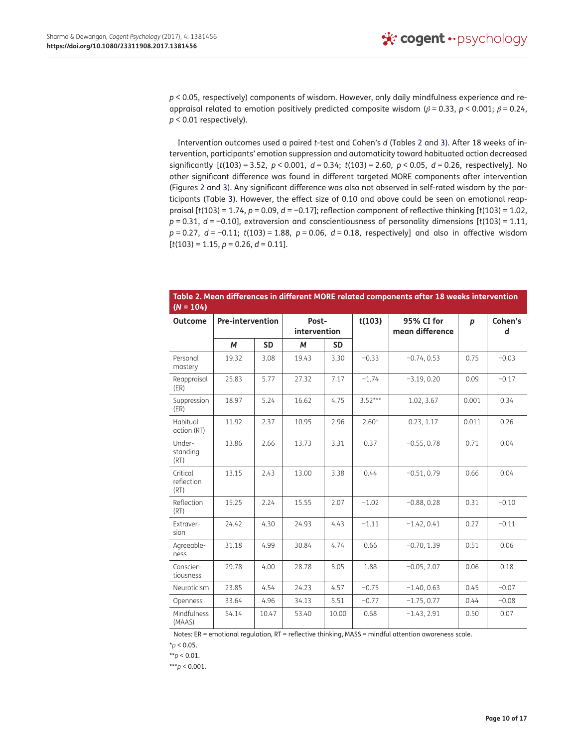*p* < 0.05, respectively) components of wisdom. However, only daily mindfulness experience and reappraisal related to emotion positively predicted composite wisdom (*β* = 0.33, *p* < 0.001; *β* = 0.24, *p* < 0.01 respectively).

Intervention outcomes used a paired *t*-test and Cohen's *d* (Tables 2 and 3). After 18 weeks of intervention, participants' emotion suppression and automaticity toward habituated action decreased significantly [*t*(103) = 3.52, *p* < 0.001, *d* = 0.34; *t*(103) = 2.60, *p* < 0.05, *d* = 0.26, respectively]. No other significant difference was found in different targeted MORE components after intervention (Figures 2 and 3). Any significant difference was also not observed in self-rated wisdom by the participants (Table 3). However, the effect size of 0.10 and above could be seen on emotional reappraisal [*t*(103) = 1.74, *p* = 0.09, *d* = −0.17]; reflection component of reflective thinking [*t*(103) = 1.02, *p* = 0.31, *d* = −0.10], extraversion and conscientiousness of personality dimensions [*t*(103) = 1.11, *p* = 0.27, *d* = −0.11; *t*(103) = 1.88, *p* = 0.06, *d* = 0.18, respectively] and also in affective wisdom  $[t(103) = 1.15, p = 0.26, d = 0.11].$ 

| Table 2. Mean differences in different MORE related components after 18 weeks intervention<br>$(N = 104)$ |                         |           |                       |           |           |                               |       |              |  |
|-----------------------------------------------------------------------------------------------------------|-------------------------|-----------|-----------------------|-----------|-----------|-------------------------------|-------|--------------|--|
| <b>Outcome</b>                                                                                            | <b>Pre-intervention</b> |           | Post-<br>intervention |           | t(103)    | 95% CI for<br>mean difference | p     | Cohen's<br>d |  |
|                                                                                                           | М                       | <b>SD</b> | M                     | <b>SD</b> |           |                               |       |              |  |
| Personal<br>mastery                                                                                       | 19.32                   | 3.08      | 19.43                 | 3.30      | $-0.33$   | $-0.74, 0.53$                 | 0.75  | $-0.03$      |  |
| Reappraisal<br>(ER)                                                                                       | 25.83                   | 5.77      | 27.32                 | 7.17      | $-1.74$   | $-3.19, 0.20$                 | 0.09  | $-0.17$      |  |
| Suppression<br>(ER)                                                                                       | 18.97                   | 5.24      | 16.62                 | 4.75      | $3.52***$ | 1.02, 3.67                    | 0.001 | 0.34         |  |
| Habitual<br>action (RT)                                                                                   | 11.92                   | 2.37      | 10.95                 | 2.96      | $2.60*$   | 0.23, 1.17                    | 0.011 | 0.26         |  |
| Under-<br>standing<br>(RT)                                                                                | 13.86                   | 2.66      | 13.73                 | 3.31      | 0.37      | $-0.55, 0.78$                 | 0.71  | 0.04         |  |
| Critical<br>reflection<br>(RT)                                                                            | 13.15                   | 2.43      | 13.00                 | 3.38      | 0.44      | $-0.51, 0.79$                 | 0.66  | 0.04         |  |
| Reflection<br>(RT)                                                                                        | 15.25                   | 2.24      | 15.55                 | 2.07      | $-1.02$   | $-0.88, 0.28$                 | 0.31  | $-0.10$      |  |
| Extraver-<br>sion                                                                                         | 24.42                   | 4.30      | 24.93                 | 4.43      | $-1.11$   | $-1.42, 0.41$                 | 0.27  | $-0.11$      |  |
| Agreeable-<br>ness                                                                                        | 31.18                   | 4.99      | 30.84                 | 4.74      | 0.66      | $-0.70, 1.39$                 | 0.51  | 0.06         |  |
| Conscien-<br>tiousness                                                                                    | 29.78                   | 4.00      | 28.78                 | 5.05      | 1.88      | $-0.05, 2.07$                 | 0.06  | 0.18         |  |
| Neuroticism                                                                                               | 23.85                   | 4.54      | 24.23                 | 4.57      | $-0.75$   | $-1.40, 0.63$                 | 0.45  | $-0.07$      |  |
| Openness                                                                                                  | 33.64                   | 4.96      | 34.13                 | 5.51      | $-0.77$   | $-1.75, 0.77$                 | 0.44  | $-0.08$      |  |
| Mindfulness<br>(MAAS)                                                                                     | 54.14                   | 10.47     | 53.40                 | 10.00     | 0.68      | $-1.43, 2.91$                 | 0.50  | 0.07         |  |

Notes: ER = emotional regulation, RT = reflective thinking, MASS = mindful attention awareness scale.

\**p* < 0.05.

\*\**p* < 0.01.

\*\*\**p* < 0.001.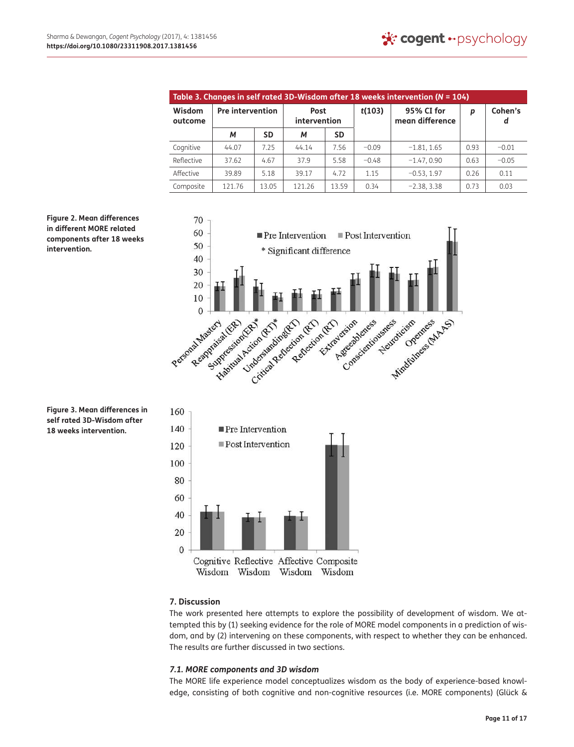| Table 3. Changes in self rated 3D-Wisdom after 18 weeks intervention ( $N = 104$ ) |                         |           |        |                      |         |                               |      |              |  |  |
|------------------------------------------------------------------------------------|-------------------------|-----------|--------|----------------------|---------|-------------------------------|------|--------------|--|--|
| Wisdom<br>outcome                                                                  | <b>Pre intervention</b> |           |        | Post<br>intervention |         | 95% CI for<br>mean difference | D    | Cohen's<br>d |  |  |
|                                                                                    | M                       | <b>SD</b> | М      | <b>SD</b>            |         |                               |      |              |  |  |
| Cognitive                                                                          | 44.07                   | 7.25      | 44.14  | 7.56                 | $-0.09$ | $-1.81, 1.65$                 | 0.93 | $-0.01$      |  |  |
| Reflective                                                                         | 37.62                   | 4.67      | 37.9   | 5.58                 | $-0.48$ | $-1.47.0.90$                  | 0.63 | $-0.05$      |  |  |
| Affective                                                                          | 39.89                   | 5.18      | 39.17  | 4.72                 | 1.15    | $-0.53, 1.97$                 | 0.26 | 0.11         |  |  |
| Composite                                                                          | 121.76                  | 13.05     | 121.26 | 13.59                | 0.34    | $-2.38, 3.38$                 | 0.73 | 0.03         |  |  |

**Figure 2. Mean differences in different MORE related components after 18 weeks intervention.**



**Figure 3. Mean differences in self rated 3D-Wisdom after 18 weeks intervention.**



## **7. Discussion**

The work presented here attempts to explore the possibility of development of wisdom. We attempted this by (1) seeking evidence for the role of MORE model components in a prediction of wisdom, and by (2) intervening on these components, with respect to whether they can be enhanced. The results are further discussed in two sections.

## *7.1. MORE components and 3D wisdom*

The MORE life experience model conceptualizes wisdom as the body of experience-based knowledge, consisting of both cognitive and non-cognitive resources (i.e. MORE components) (Glück &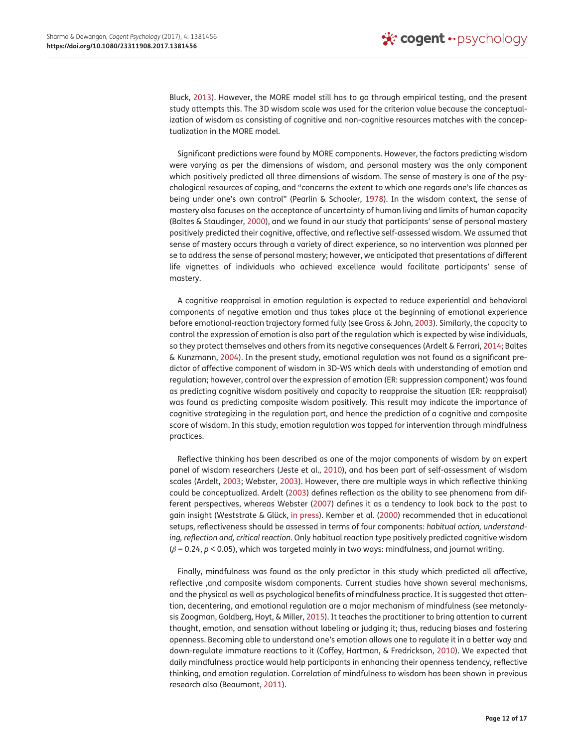Bluck, 2013). However, the MORE model still has to go through empirical testing, and the present study attempts this. The 3D wisdom scale was used for the criterion value because the conceptualization of wisdom as consisting of cognitive and non-cognitive resources matches with the conceptualization in the MORE model.

Significant predictions were found by MORE components. However, the factors predicting wisdom were varying as per the dimensions of wisdom, and personal mastery was the only component which positively predicted all three dimensions of wisdom. The sense of mastery is one of the psychological resources of coping, and "concerns the extent to which one regards one's life chances as being under one's own control" (Pearlin & Schooler, 1978). In the wisdom context, the sense of mastery also focuses on the acceptance of uncertainty of human living and limits of human capacity (Baltes & Staudinger, 2000), and we found in our study that participants' sense of personal mastery positively predicted their cognitive, affective, and reflective self-assessed wisdom. We assumed that sense of mastery occurs through a variety of direct experience, so no intervention was planned per se to address the sense of personal mastery; however, we anticipated that presentations of different life vignettes of individuals who achieved excellence would facilitate participants' sense of mastery.

A cognitive reappraisal in emotion regulation is expected to reduce experiential and behavioral components of negative emotion and thus takes place at the beginning of emotional experience before emotional-reaction trajectory formed fully (see Gross & John, 2003). Similarly, the capacity to control the expression of emotion is also part of the regulation which is expected by wise individuals, so they protect themselves and others from its negative consequences (Ardelt & Ferrari, 2014; Baltes & Kunzmann, 2004). In the present study, emotional regulation was not found as a significant predictor of affective component of wisdom in 3D-WS which deals with understanding of emotion and regulation; however, control over the expression of emotion (ER: suppression component) was found as predicting cognitive wisdom positively and capacity to reappraise the situation (ER: reappraisal) was found as predicting composite wisdom positively. This result may indicate the importance of cognitive strategizing in the regulation part, and hence the prediction of a cognitive and composite score of wisdom. In this study, emotion regulation was tapped for intervention through mindfulness practices.

Reflective thinking has been described as one of the major components of wisdom by an expert panel of wisdom researchers (Jeste et al., 2010), and has been part of self-assessment of wisdom scales (Ardelt, 2003; Webster, 2003). However, there are multiple ways in which reflective thinking could be conceptualized. Ardelt (2003) defines reflection as the ability to see phenomena from different perspectives, whereas Webster (2007) defines it as a tendency to look back to the past to gain insight (Weststrate & Glück, in press). Kember et al. (2000) recommended that in educational setups, reflectiveness should be assessed in terms of four components: *habitual action, understanding, reflection and, critical reaction*. Only habitual reaction type positively predicted cognitive wisdom (*β* = 0.24, *p* < 0.05), which was targeted mainly in two ways: mindfulness, and journal writing.

Finally, mindfulness was found as the only predictor in this study which predicted all affective, reflective ,and composite wisdom components. Current studies have shown several mechanisms, and the physical as well as psychological benefits of mindfulness practice. It is suggested that attention, decentering, and emotional regulation are a major mechanism of mindfulness (see metanalysis Zoogman, Goldberg, Hoyt, & Miller, 2015). It teaches the practitioner to bring attention to current thought, emotion, and sensation without labeling or judging it; thus, reducing biases and fostering openness. Becoming able to understand one's emotion allows one to regulate it in a better way and down-regulate immature reactions to it (Coffey, Hartman, & Fredrickson, 2010). We expected that daily mindfulness practice would help participants in enhancing their openness tendency, reflective thinking, and emotion regulation. Correlation of mindfulness to wisdom has been shown in previous research also (Beaumont, 2011).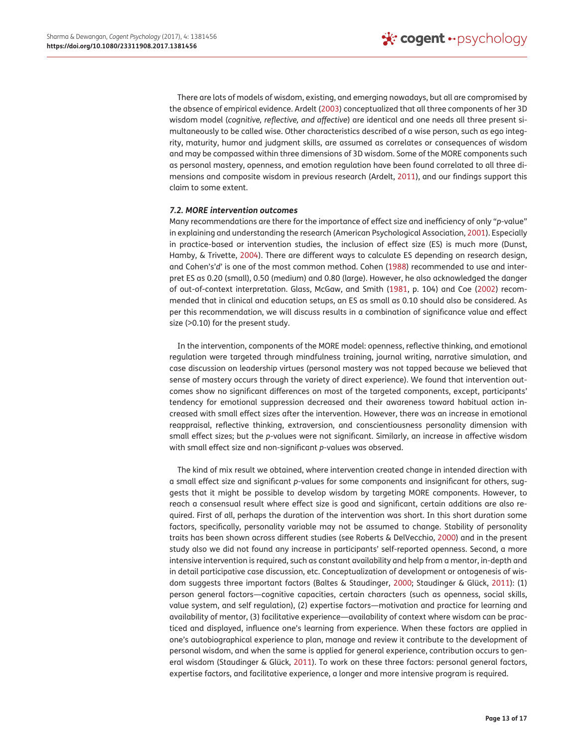There are lots of models of wisdom, existing, and emerging nowadays, but all are compromised by the absence of empirical evidence. Ardelt (2003) conceptualized that all three components of her 3D wisdom model (*cognitive, reflective, and affective*) are identical and one needs all three present simultaneously to be called wise. Other characteristics described of a wise person, such as ego integrity, maturity, humor and judgment skills, are assumed as correlates or consequences of wisdom and may be compassed within three dimensions of 3D wisdom. Some of the MORE components such as personal mastery, openness, and emotion regulation have been found correlated to all three dimensions and composite wisdom in previous research (Ardelt, 2011), and our findings support this claim to some extent.

#### *7.2. MORE intervention outcomes*

Many recommendations are there for the importance of effect size and inefficiency of only "*p*-value" in explaining and understanding the research (American Psychological Association, 2001). Especially in practice-based or intervention studies, the inclusion of effect size (ES) is much more (Dunst, Hamby, & Trivette, 2004). There are different ways to calculate ES depending on research design, and Cohen's'*d*' is one of the most common method. Cohen (1988) recommended to use and interpret ES as 0.20 (small), 0.50 (medium) and 0.80 (large). However, he also acknowledged the danger of out-of-context interpretation. Glass, McGaw, and Smith (1981, p. 104) and Coe (2002) recommended that in clinical and education setups, an ES as small as 0.10 should also be considered. As per this recommendation, we will discuss results in a combination of significance value and effect size (>0.10) for the present study.

In the intervention, components of the MORE model: openness, reflective thinking, and emotional regulation were targeted through mindfulness training, journal writing, narrative simulation, and case discussion on leadership virtues (personal mastery was not tapped because we believed that sense of mastery occurs through the variety of direct experience). We found that intervention outcomes show no significant differences on most of the targeted components, except, participants' tendency for emotional suppression decreased and their awareness toward habitual action increased with small effect sizes after the intervention. However, there was an increase in emotional reappraisal, reflective thinking, extraversion, and conscientiousness personality dimension with small effect sizes; but the *p*-values were not significant. Similarly, an increase in affective wisdom with small effect size and non-significant *p*-values was observed.

The kind of mix result we obtained, where intervention created change in intended direction with a small effect size and significant *p*-values for some components and insignificant for others, suggests that it might be possible to develop wisdom by targeting MORE components. However, to reach a consensual result where effect size is good and significant, certain additions are also required. First of all, perhaps the duration of the intervention was short. In this short duration some factors, specifically, personality variable may not be assumed to change. Stability of personality traits has been shown across different studies (see Roberts & DelVecchio, 2000) and in the present study also we did not found any increase in participants' self-reported openness. Second, a more intensive intervention is required, such as constant availability and help from a mentor, in-depth and in detail participative case discussion, etc. Conceptualization of development or ontogenesis of wisdom suggests three important factors (Baltes & Staudinger, 2000; Staudinger & Glück, 2011): (1) person general factors—cognitive capacities, certain characters (such as openness, social skills, value system, and self regulation), (2) expertise factors—motivation and practice for learning and availability of mentor, (3) facilitative experience—availability of context where wisdom can be practiced and displayed, influence one's learning from experience. When these factors are applied in one's autobiographical experience to plan, manage and review it contribute to the development of personal wisdom, and when the same is applied for general experience, contribution occurs to general wisdom (Staudinger & Glück, 2011). To work on these three factors: personal general factors, expertise factors, and facilitative experience, a longer and more intensive program is required.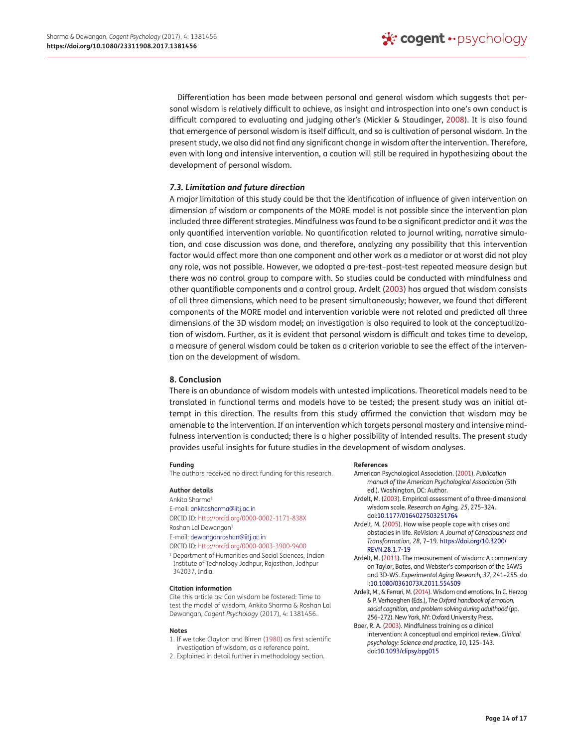Differentiation has been made between personal and general wisdom which suggests that personal wisdom is relatively difficult to achieve, as insight and introspection into one's own conduct is difficult compared to evaluating and judging other's (Mickler & Staudinger, 2008). It is also found that emergence of personal wisdom is itself difficult, and so is cultivation of personal wisdom. In the present study, we also did not find any significant change in wisdom after the intervention. Therefore, even with long and intensive intervention, a caution will still be required in hypothesizing about the development of personal wisdom.

## *7.3. Limitation and future direction*

A major limitation of this study could be that the identification of influence of given intervention on dimension of wisdom or components of the MORE model is not possible since the intervention plan included three different strategies. Mindfulness was found to be a significant predictor and it was the only quantified intervention variable. No quantification related to journal writing, narrative simulation, and case discussion was done, and therefore, analyzing any possibility that this intervention factor would affect more than one component and other work as a mediator or at worst did not play any role, was not possible. However, we adopted a pre-test–post-test repeated measure design but there was no control group to compare with. So studies could be conducted with mindfulness and other quantifiable components and a control group. Ardelt (2003) has argued that wisdom consists of all three dimensions, which need to be present simultaneously; however, we found that different components of the MORE model and intervention variable were not related and predicted all three dimensions of the 3D wisdom model; an investigation is also required to look at the conceptualization of wisdom. Further, as it is evident that personal wisdom is difficult and takes time to develop, a measure of general wisdom could be taken as a criterion variable to see the effect of the intervention on the development of wisdom.

## **8. Conclusion**

There is an abundance of wisdom models with untested implications. Theoretical models need to be translated in functional terms and models have to be tested; the present study was an initial attempt in this direction. The results from this study affirmed the conviction that wisdom may be amenable to the intervention. If an intervention which targets personal mastery and intensive mindfulness intervention is conducted; there is a higher possibility of intended results. The present study provides useful insights for future studies in the development of wisdom analyses.

#### **Funding**

The authors received no direct funding for this research.

#### **Author details**

Ankita Sharma<sup>1</sup> E-mail: ankitasharma@iitj.ac.in ORCID ID: http://orcid.org/0000-0002-1171-838X Roshan Lal Dewangan<sup>1</sup> E-mail: dewanganroshan@iitj.ac.in ORCID ID: http://orcid.org/0000-0003-3900-9400

1 Department of Humanities and Social Sciences, Indian Institute of Technology Jodhpur, Rajasthan, Jodhpur 342037, India.

#### **Citation information**

Cite this article as: Can wisdom be fostered: Time to test the model of wisdom, Ankita Sharma & Roshan Lal Dewangan, *Cogent Psychology* (2017), 4: 1381456.

#### **Notes**

- 1. If we take Clayton and Birren (1980) as first scientific investigation of wisdom, as a reference point.
- 2. Explained in detail further in methodology section.

#### **References**

- American Psychological Association. (2001). *Publication manual of the American Psychological Association* (5th ed.). Washington, DC: Author.
- Ardelt, M. (2003). Empirical assessment of a three-dimensional wisdom scale. *Research on Aging, 25*, 275–324. doi:10.1177/0164027503251764
- Ardelt, M. (2005). How wise people cope with crises and obstacles in life. *ReVision: A Journal of Consciousness and Transformation, 28*, 7–19. https://doi.org/10.3200/ REVN.28.1.7-19
- Ardelt, M. (2011). The measurement of wisdom: A commentary on Taylor, Bates, and Webster's comparison of the SAWS and 3D-WS. *Experimental Aging Research, 37*, 241–255. do i:10.1080/0361073X.2011.554509
- Ardelt, M., & Ferrari, M. (2014). Wisdom and emotions. In C. Herzog & P. Verhaeghen (Eds.), *The Oxford handbook of emotion, social cognition, and problem solving during adulthood* (pp. 256–272). New York, NY: Oxford University Press.
- Baer, R. A. (2003). Mindfulness training as a clinical intervention: A conceptual and empirical review. *Clinical psychology: Science and practice, 10*, 125–143. doi:10.1093/clipsy.bpg015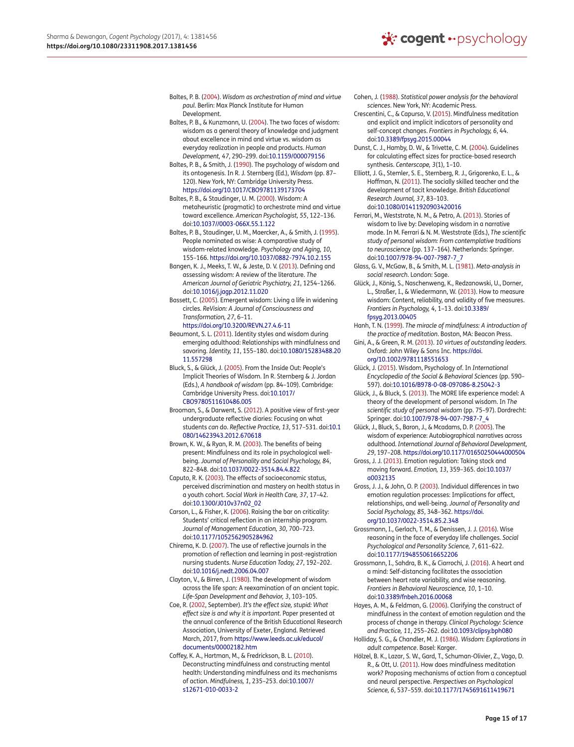- Baltes, P. B. (2004). *Wisdom as orchestration of mind and virtue paul*. Berlin: Max Planck Institute for Human Development.
- Baltes, P. B., & Kunzmann, U. (2004). The two faces of wisdom: wisdom as a general theory of knowledge and judgment about excellence in mind and virtue vs. wisdom as everyday realization in people and products. *Human Development, 47*, 290–299. doi:10.1159/000079156
- Baltes, P. B., & Smith, J. (1990). The psychology of wisdom and its ontogenesis. In R. J. Sternberg (Ed.), *Wisdom* (pp. 87– 120). New York, NY: Cambridge University Press. https://doi.org/10.1017/CBO9781139173704
- Baltes, P. B., & Staudinger, U. M. (2000). Wisdom: A metaheuristic (pragmatic) to orchestrate mind and virtue toward excellence. *American Psychologist, 55*, 122–136. doi:10.1037//0003-066X.55.1.122
- Baltes, P. B., Staudinger, U. M., Maercker, A., & Smith, J. (1995). People nominated as wise: A comparative study of wisdom-related knowledge. *Psychology and Aging, 10*, 155–166. https://doi.org/10.1037/0882-7974.10.2.155
- Bangen, K. J., Meeks, T. W., & Jeste, D. V. (2013). Defining and assessing wisdom: A review of the literature. *The American Journal of Geriatric Psychiatry, 21*, 1254–1266. doi:10.1016/j.jagp.2012.11.020

Bassett, C. (2005). Emergent wisdom: Living a life in widening circles. *ReVision: A Journal of Consciousness and Transformation, 27*, 6–11. https://doi.org/10.3200/REVN.27.4.6-11

- Beaumont, S. L. (2011). Identity styles and wisdom during emerging adulthood: Relationships with mindfulness and savoring. *Identity, 11*, 155–180. doi:10.1080/15283488.20 11.557298
- Bluck, S., & Glück, J. (2005). From the Inside Out: People's Implicit Theories of Wisdom. In R. Sternberg & J. Jordan (Eds.), *A handbook of wisdom* (pp. 84–109). Cambridge: Cambridge University Press. doi:10.1017/ CBO9780511610486.005
- Brooman, S., & Darwent, S. (2012). A positive view of first-year undergraduate reflective diaries: Focusing on what students *can* do. *Reflective Practice, 13*, 517–531. doi:10.1 080/14623943.2012.670618
- Brown, K. W., & Ryan, R. M. (2003). The benefits of being present: Mindfulness and its role in psychological wellbeing. *Journal of Personality and Social Psychology, 84*, 822–848. doi:10.1037/0022-3514.84.4.822
- Caputo, R. K. (2003). The effects of socioeconomic status, perceived discrimination and mastery on health status in a youth cohort. *Social Work in Health Care, 37*, 17–42. doi:10.1300/J010v37n02\_02
- Carson, L., & Fisher, K. (2006). Raising the bar on criticality: Students' critical reflection in an internship program. *Journal of Management Education, 30*, 700–723. doi:10.1177/1052562905284962
- Chirema, K. D. (2007). The use of reflective journals in the promotion of reflection and learning in post-registration nursing students. *Nurse Education Today, 27*, 192–202. doi:10.1016/j.nedt.2006.04.007
- Clayton, V., & Birren, J. (1980). The development of wisdom across the life span: A reexamination of an ancient topic. *Life-Span Development and Behavior, 3*, 103–105.
- Coe, R. (2002, September). *It's the effect size, stupid: What effect size is and why it is important*. Paper presented at the annual conference of the British Educational Research Association, University of Exeter, England. Retrieved March, 2017, from https://www.leeds.ac.uk/educol/ documents/00002182.htm
- Coffey, K. A., Hartman, M., & Fredrickson, B. L. (2010). Deconstructing mindfulness and constructing mental health: Understanding mindfulness and its mechanisms of action. *Mindfulness, 1*, 235–253. doi:10.1007/ s12671-010-0033-2
- Cohen, J. (1988). *Statistical power analysis for the behavioral sciences*. New York, NY: Academic Press.
- Crescentini, C., & Capurso, V. (2015). Mindfulness meditation and explicit and implicit indicators of personality and self-concept changes. *Frontiers in Psychology, 6*, 44. doi:10.3389/fpsyg.2015.00044
- Dunst, C. J., Hamby, D. W., & Trivette, C. M. (2004). Guidelines for calculating effect sizes for practice-based research synthesis. *Centerscope, 3*(1), 1–10.
- Elliott, J. G., Stemler, S. E., Sternberg, R. J., Grigorenko, E. L., & Hoffman, N. (2011). The socially skilled teacher and the development of tacit knowledge. *British Educational Research Journal, 37*, 83–103. doi:10.1080/01411920903420016
- Ferrari, M., Weststrate, N. M., & Petro, A. (2013). Stories of wisdom to live by: Developing wisdom in a narrative mode. In M. Ferrari & N. M. Weststrate (Eds.), *The scientific study of personal wisdom: From contemplative traditions to neuroscience* (pp. 137–164). Netherlands: Springer. doi:10.1007/978-94-007-7987-7\_7
- Glass, G. V., McGaw, B., & Smith, M. L. (1981). *Meta-analysis in social research*. London: Sage.
- Glück, J., König, S., Naschenweng, K., Redzanowski, U., Dorner, L., Straßer, I., & Wiedermann, W. (2013). How to measure wisdom: Content, reliability, and validity of five measures. *Frontiers in Psychology, 4*, 1–13. doi:10.3389/ fpsyg.2013.00405
- Hanh, T. N. (1999). *The miracle of mindfulness: A introduction of the practice of meditation*. Boston, MA: Beacon Press.
- Gini, A., & Green, R. M. (2013). *10 virtues of outstanding leaders*. Oxford: John Wiley & Sons Inc. https://doi. org/10.1002/9781118551653
- Glück, J. (2015). Wisdom, Psychology of. In *International Encyclopedia of the Social & Behavioral Sciences* (pp. 590– 597). doi:10.1016/B978-0-08-097086-8.25042-3
- Glück, J., & Bluck, S. (2013). The MORE life experience model: A theory of the development of personal wisdom. In *The scientific study of personal wisdom* (pp. 75–97). Dordrecht: Springer. doi:10.1007/978-94-007-7987-7\_4
- Glück, J., Bluck, S., Baron, J., & Mcadams, D. P. (2005). The wisdom of experience: Autobiographical narratives across adulthood. *International Journal of Behavioral Development, 29*, 197–208. https://doi.org/10.1177/01650250444000504
- Gross, J. J. (2013). Emotion regulation: Taking stock and moving forward. *Emotion, 13*, 359–365. doi:10.1037/ a0032135
- Gross, J. J., & John, O. P. (2003). Individual differences in two emotion regulation processes: Implications for affect, relationships, and well-being. *Journal of Personality and Social Psychology, 85*, 348–362. https://doi. org/10.1037/0022-3514.85.2.348
- Grossmann, I., Gerlach, T. M., & Denissen, J. J. (2016). Wise reasoning in the face of everyday life challenges. *Social Psychological and Personality Science, 7*, 611–622. doi:10.1177/1948550616652206
- Grossmann, I., Sahdra, B. K., & Ciarrochi, J. (2016). A heart and a mind: Self-distancing facilitates the association between heart rate variability, and wise reasoning. *Frontiers in Behavioral Neuroscience, 10*, 1–10. doi:10.3389/fnbeh.2016.00068
- Hayes, A. M., & Feldman, G. (2006). Clarifying the construct of mindfulness in the context of emotion regulation and the process of change in therapy. *Clinical Psychology: Science and Practice, 11*, 255–262. doi:10.1093/clipsy.bph080
- Holliday, S. G., & Chandler, M. J. (1986). *Wisdom: Explorations in adult competence*. Basel: Karger.
- Hölzel, B. K., Lazar, S. W., Gard, T., Schuman-Olivier, Z., Vago, D. R., & Ott, U. (2011). How does mindfulness meditation work? Proposing mechanisms of action from a conceptual and neural perspective. *Perspectives on Psychological Science, 6*, 537–559. doi:10.1177/1745691611419671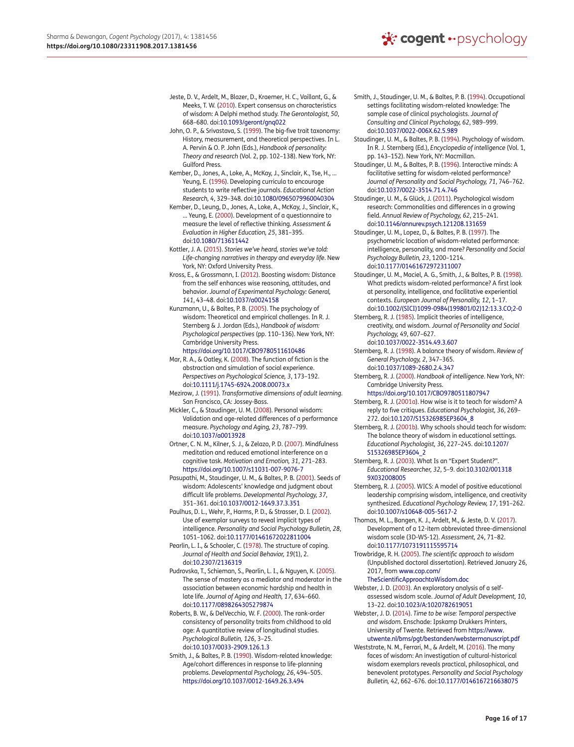\* cogent · psychology

- Jeste, D. V., Ardelt, M., Blazer, D., Kraemer, H. C., Vaillant, G., & Meeks, T. W. (2010). Expert consensus on characteristics of wisdom: A Delphi method study. *The Gerontologist, 50*, 668–680. doi:10.1093/geront/gnq022
- John, O. P., & Srivastava, S. (1999). The big-five trait taxonomy: History, measurement, and theoretical perspectives. In L. A. Pervin & O. P. John (Eds.), *Handbook of personality: Theory and research* (Vol. 2, pp. 102–138). New York, NY: Guilford Press.
- Kember, D., Jones, A., Loke, A., McKay, J., Sinclair, K., Tse, H., … Yeung, E. (1996). Developing curricula to encourage students to write reflective journals. *Educational Action Research, 4*, 329–348. doi:10.1080/0965079960040304
- Kember, D., Leung, D., Jones, A., Loke, A., McKay, J., Sinclair, K., … Yeung, E. (2000). Development of a questionnaire to measure the level of reflective thinking. *Assessment & Evaluation in Higher Education, 25*, 381–395. doi:10.1080/713611442
- Kottler, J. A. (2015). *Stories we've heard, stories we've told: Life-changing narratives in therapy and everyday life*. New York, NY: Oxford University Press.
- Kross, E., & Grossmann, I. (2012). Boosting wisdom: Distance from the self enhances wise reasoning, attitudes, and behavior. *Journal of Experimental Psychology: General, 141*, 43–48. doi:10.1037/a0024158
- Kunzmann, U., & Baltes, P. B. (2005). The psychology of wisdom: Theoretical and empirical challenges. In R. J. Sternberg & J. Jordan (Eds.), *Handbook of wisdom: Psychological perspectives* (pp. 110–136). New York, NY: Cambridge University Press.
- https://doi.org/10.1017/CBO9780511610486 Mar, R. A., & Oatley, K. (2008). The function of fiction is the abstraction and simulation of social experience.
	- *Perspectives on Psychological Science, 3*, 173–192. doi:10.1111/j.1745-6924.2008.00073.x
- Mezirow, J. (1991). *Transformative dimensions of adult learning*. San Francisco, CA: Jossey-Bass.
- Mickler, C., & Staudinger, U. M. (2008). Personal wisdom: Validation and age-related differences of a performance measure. *Psychology and Aging, 23*, 787–799. doi:10.1037/a0013928
- Ortner, C. N. M., Kilner, S. J., & Zelazo, P. D. (2007). Mindfulness meditation and reduced emotional interference on a cognitive task. *Motivation and Emotion, 31*, 271–283. https://doi.org/10.1007/s11031-007-9076-7
- Pasupathi, M., Staudinger, U. M., & Baltes, P. B. (2001). Seeds of wisdom: Adolescents' knowledge and judgment about difficult life problems. *Developmental Psychology, 37*, 351–361. doi:10.1037/0012-1649.37.3.351
- Paulhus, D. L., Wehr, P., Harms, P. D., & Strasser, D. I. (2002). Use of exemplar surveys to reveal implicit types of intelligence. *Personality and Social Psychology Bulletin, 28*, 1051–1062. doi:10.1177/01461672022811004
- Pearlin, L. I., & Schooler, C. (1978). The structure of coping. *Journal of Health and Social Behavior, 19*(1), 2. doi:10.2307/2136319
- Pudrovska, T., Schieman, S., Pearlin, L. I., & Nguyen, K. (2005). The sense of mastery as a mediator and moderator in the association between economic hardship and health in late life. *Journal of Aging and Health, 17*, 634–660. doi:10.1177/0898264305279874
- Roberts, B. W., & DelVecchio, W. F. (2000). The rank-order consistency of personality traits from childhood to old age: A quantitative review of longitudinal studies. *Psychological Bulletin, 126*, 3–25. doi:10.1037/0033-2909.126.1.3
- Smith, J., & Baltes, P. B. (1990). Wisdom-related knowledge: Age/cohort differences in response to life-planning problems. *Developmental Psychology, 26*, 494–505. https://doi.org/10.1037/0012-1649.26.3.494
- Smith, J., Staudinger, U. M., & Baltes, P. B. (1994). Occupational settings facilitating wisdom-related knowledge: The sample case of clinical psychologists. *Journal of Consulting and Clinical Psychology, 62*, 989–999. doi:10.1037/0022-006X.62.5.989
- Staudinger, U. M., & Baltes, P. B. (1994). Psychology of wisdom. In R. J. Sternberg (Ed.), *Encyclopedia of intelligence* (Vol. 1, pp. 143–152). New York, NY: Macmillan.
- Staudinger, U. M., & Baltes, P. B. (1996). Interactive minds: A facilitative setting for wisdom-related performance? *Journal of Personality and Social Psychology, 71*, 746–762. doi:10.1037/0022-3514.71.4.746
- Staudinger, U. M., & Glück, J. (2011). Psychological wisdom research: Commonalities and differences in a growing field. *Annual Review of Psychology, 62*, 215–241. doi:10.1146/annurev.psych.121208.131659
- Staudinger, U. M., Lopez, D., & Baltes, P. B. (1997). The psychometric location of wisdom-related performance: intelligence, personality, and more? *Personality and Social Psychology Bulletin, 23*, 1200–1214. doi:10.1177/01461672972311007
- Staudinger, U. M., Maciel, A. G., Smith, J., & Baltes, P. B. (1998). What predicts wisdom-related performance? A first look at personality, intelligence, and facilitative experiential contexts. *European Journal of Personality, 12*, 1–17. doi:10.1002/(SICI)1099-0984(199801/02)12:13.3.CO;2-0
- Sternberg, R. J. (1985). Implicit theories of intelligence, creativity, and wisdom. *Journal of Personality and Social Psychology, 49*, 607–627. doi:10.1037/0022-3514.49.3.607
- Sternberg, R. J. (1998). A balance theory of wisdom. *Review of General Psychology, 2*, 347–365. doi:10.1037/1089-2680.2.4.347
- Sternberg, R. J. (2000). *Handbook of intelligence*. New York, NY: Cambridge University Press.
- https://doi.org/10.1017/CBO9780511807947
- Sternberg, R. J. (2001a). How wise is it to teach for wisdom? A reply to five critiques. *Educational Psychologist, 36*, 269– 272. doi:10.1207/S15326985EP3604\_8
- Sternberg, R. J. (2001b). Why schools should teach for wisdom: The balance theory of wisdom in educational settings. *Educational Psychologist, 36*, 227–245. doi:10.1207/ S15326985EP3604\_2
- Sternberg, R. J. (2003). What Is an "Expert Student?". *Educational Researcher, 32*, 5–9. doi:10.3102/001318 9X032008005
- Sternberg, R. J. (2005). WICS: A model of positive educational leadership comprising wisdom, intelligence, and creativity synthesized. *Educational Psychology Review, 17*, 191–262. doi:10.1007/s10648-005-5617-2
- Thomas, M. L., Bangen, K. J., Ardelt, M., & Jeste, D. V. (2017). Development of a 12-item abbreviated three-dimensional wisdom scale (3D-WS-12). *Assessment, 24*, 71–82. doi:10.1177/1073191115595714
- Trowbridge, R. H. (2005). *The scientific approach to wisdom* (Unpublished doctoral dissertation). Retrieved January 26, 2017, from www.cop.com/
- TheScientificApproachtoWisdom.doc Webster, J. D. (2003). An exploratory analysis of a selfassessed wisdom scale. *Journal of Adult Development, 10*, 13–22. doi:10.1023/A:1020782619051
- Webster, J. D. (2014). *Time to be wise: Temporal perspective and wisdom*. Enschade: Ipskamp Drukkers Printers, University of Twente. Retrieved from https://www. utwente.nl/bms/pgt/bestanden/webstermanuscript.pdf
- Weststrate, N. M., Ferrari, M., & Ardelt, M. (2016). The many faces of wisdom: An investigation of cultural-historical wisdom exemplars reveals practical, philosophical, and benevolent prototypes. *Personality and Social Psychology Bulletin, 42*, 662–676. doi:10.1177/0146167216638075